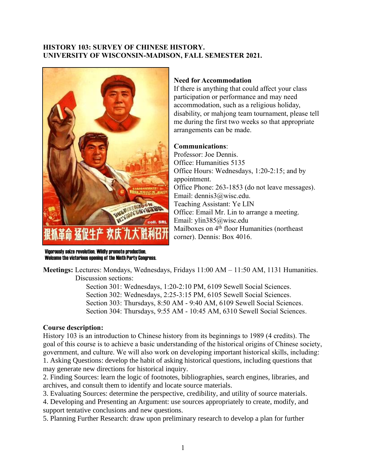## **HISTORY 103: SURVEY OF CHINESE HISTORY. UNIVERSITY OF WISCONSIN-MADISON, FALL SEMESTER 2021.**



## **Need for Accommodation**

If there is anything that could affect your class participation or performance and may need accommodation, such as a religious holiday, disability, or mahjong team tournament, please tell me during the first two weeks so that appropriate arrangements can be made.

### **Communications**:

Professor: Joe Dennis. Office: Humanities 5135 Office Hours: Wednesdays, 1:20-2:15; and by appointment. Office Phone: 263-1853 (do not leave messages). Email: dennis3@wisc.edu. Teaching Assistant: Ye LIN Office: Email Mr. Lin to arrange a meeting. Email: ylin385@wisc.edu Mailboxes on 4<sup>th</sup> floor Humanities (northeast corner). Dennis: Box 4016.

Vigorously seize revolution. Wildly promote production. Welcome the victorious opening of the Ninth Party Congress.

**Meetings:** Lectures: Mondays, Wednesdays, Fridays 11:00 AM – 11:50 AM, 1131 Humanities. Discussion sections:

> Section 301: Wednesdays, 1:20-2:10 PM, 6109 Sewell Social Sciences. Section 302: Wednesdays, 2:25-3:15 PM, 6105 Sewell Social Sciences. Section 303: Thursdays, 8:50 AM - 9:40 AM, 6109 Sewell Social Sciences. Section 304: Thursdays, 9:55 AM - 10:45 AM, 6310 Sewell Social Sciences.

### **Course description:**

History 103 is an introduction to Chinese history from its beginnings to 1989 (4 credits). The goal of this course is to achieve a basic understanding of the historical origins of Chinese society, government, and culture. We will also work on developing important historical skills, including: 1. Asking Questions: develop the habit of asking historical questions, including questions that may generate new directions for historical inquiry.

2. Finding Sources: learn the logic of footnotes, bibliographies, search engines, libraries, and archives, and consult them to identify and locate source materials.

3. Evaluating Sources: determine the perspective, credibility, and utility of source materials.

4. Developing and Presenting an Argument: use sources appropriately to create, modify, and support tentative conclusions and new questions.

5. Planning Further Research: draw upon preliminary research to develop a plan for further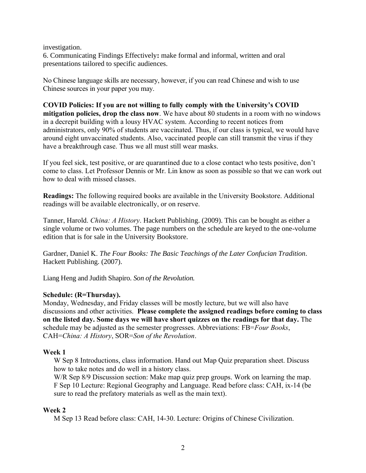#### investigation.

6. Communicating Findings Effectively**:** make formal and informal, written and oral presentations tailored to specific audiences.

No Chinese language skills are necessary, however, if you can read Chinese and wish to use Chinese sources in your paper you may.

**COVID Policies: If you are not willing to fully comply with the University's COVID mitigation policies, drop the class now**. We have about 80 students in a room with no windows in a decrepit building with a lousy HVAC system. According to recent notices from administrators, only 90% of students are vaccinated. Thus, if our class is typical, we would have around eight unvaccinated students. Also, vaccinated people can still transmit the virus if they have a breakthrough case. Thus we all must still wear masks.

If you feel sick, test positive, or are quarantined due to a close contact who tests positive, don't come to class. Let Professor Dennis or Mr. Lin know as soon as possible so that we can work out how to deal with missed classes.

**Readings:** The following required books are available in the University Bookstore. Additional readings will be available electronically, or on reserve.

Tanner, Harold. *China: A History*. Hackett Publishing. (2009). This can be bought as either a single volume or two volumes. The page numbers on the schedule are keyed to the one-volume edition that is for sale in the University Bookstore.

[Gardner](http://www.amazon.com/s/ref=ntt_athr_dp_sr_1?_encoding=UTF8&field-author=Daniel%20K.%20Gardner&search-alias=books&sort=relevancerank), Daniel K. *The Four Books: The Basic Teachings of the Later Confucian Tradition.*  Hackett Publishing. (2007).

Liang Heng and Judith Shapiro. *Son of the Revolution.*

# **Schedule: (R=Thursday).**

Monday, Wednesday, and Friday classes will be mostly lecture, but we will also have discussions and other activities. **Please complete the assigned readings before coming to class on the listed day. Some days we will have short quizzes on the readings for that day.** The schedule may be adjusted as the semester progresses. Abbreviations: FB=*Four Books*, CAH=*China: A History*, SOR=*Son of the Revolution*.

### **Week 1**

W Sep 8 Introductions, class information. Hand out Map Quiz preparation sheet. Discuss how to take notes and do well in a history class.

W/R Sep 8/9 Discussion section: Make map quiz prep groups. Work on learning the map. F Sep 10 Lecture: Regional Geography and Language. Read before class: CAH, ix-14 (be sure to read the prefatory materials as well as the main text).

# **Week 2**

M Sep 13 Read before class: CAH, 14-30. Lecture: Origins of Chinese Civilization.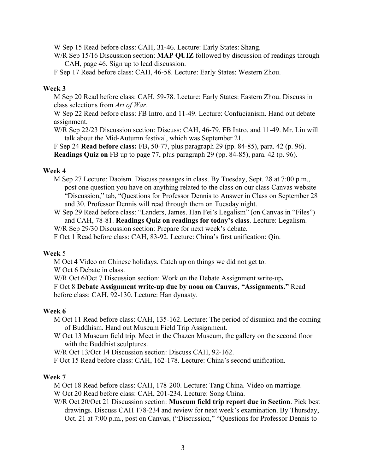W Sep 15 Read before class: CAH, 31-46. Lecture: Early States: Shang.

W/R Sep 15/16 Discussion section: **MAP QUIZ** followed by discussion of readings through CAH, page 46. Sign up to lead discussion.

F Sep 17 Read before class: CAH, 46-58. Lecture: Early States: Western Zhou.

#### **Week 3**

M Sep 20 Read before class: CAH, 59-78. Lecture: Early States: Eastern Zhou. Discuss in class selections from *Art of War*.

W Sep 22 Read before class: FB Intro. and 11-49. Lecture: Confucianism. Hand out debate assignment.

W/R Sep 22/23 Discussion section: Discuss: CAH, 46-79. FB Intro. and 11-49. Mr. Lin will talk about the Mid-Autumn festival, which was September 21.

F Sep 24 **Read before class:** FB**,** 50-77, plus paragraph 29 (pp. 84-85), para. 42 (p. 96). **Readings Quiz on** FB up to page 77, plus paragraph 29 (pp. 84-85), para. 42 (p. 96).

#### **Week 4**

M Sep 27 Lecture: Daoism. Discuss passages in class. By Tuesday, Sept. 28 at 7:00 p.m., post one question you have on anything related to the class on our class Canvas website "Discussion," tab, "Questions for Professor Dennis to Answer in Class on September 28 and 30. Professor Dennis will read through them on Tuesday night.

W Sep 29 Read before class: "Landers, James. Han Fei's Legalism" (on Canvas in "Files") and CAH, 78-81. **Readings Quiz on readings for today's class**. Lecture: Legalism. W/R Sep 29/30 Discussion section: Prepare for next week's debate.

F Oct 1 Read before class: CAH, 83-92. Lecture: China's first unification: Qin.

#### **Week** 5

M Oct 4 Video on Chinese holidays. Catch up on things we did not get to.

W Oct 6 Debate in class.

W/R Oct 6/Oct 7 Discussion section: Work on the Debate Assignment write-up**.**

F Oct 8 **Debate Assignment write-up due by noon on Canvas, "Assignments."** Read before class: CAH, 92-130. Lecture: Han dynasty.

#### **Week 6**

M Oct 11 Read before class: CAH, 135-162. Lecture: The period of disunion and the coming of Buddhism. Hand out Museum Field Trip Assignment.

W Oct 13 Museum field trip. Meet in the Chazen Museum, the gallery on the second floor with the Buddhist sculptures.

W/R Oct 13/Oct 14 Discussion section: Discuss CAH, 92-162.

F Oct 15 Read before class: CAH, 162-178. Lecture: China's second unification.

#### **Week 7**

M Oct 18 Read before class: CAH, 178-200. Lecture: Tang China. Video on marriage.

W Oct 20 Read before class: CAH, 201-234. Lecture: Song China.

W/R Oct 20/Oct 21 Discussion section: **Museum field trip report due in Section**. Pick best drawings. Discuss CAH 178-234 and review for next week's examination. By Thursday, Oct. 21 at 7:00 p.m., post on Canvas, ("Discussion," "Questions for Professor Dennis to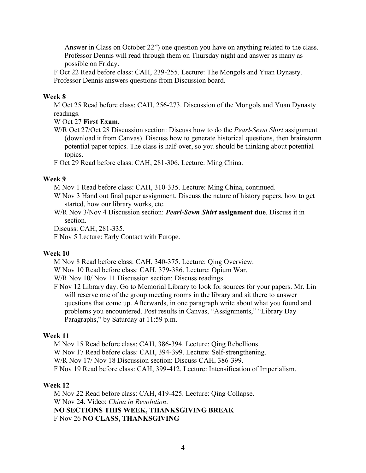Answer in Class on October 22") one question you have on anything related to the class. Professor Dennis will read through them on Thursday night and answer as many as possible on Friday.

F Oct 22 Read before class: CAH, 239-255. Lecture: The Mongols and Yuan Dynasty. Professor Dennis answers questions from Discussion board.

#### **Week 8**

M Oct 25 Read before class: CAH, 256-273. Discussion of the Mongols and Yuan Dynasty readings.

### W Oct 27 **First Exam.**

W/R Oct 27/Oct 28 Discussion section: Discuss how to do the *Pearl-Sewn Shirt* assignment (download it from Canvas). Discuss how to generate historical questions, then brainstorm potential paper topics. The class is half-over, so you should be thinking about potential topics.

F Oct 29 Read before class: CAH, 281-306. Lecture: Ming China.

#### **Week 9**

M Nov 1 Read before class: CAH, 310-335. Lecture: Ming China, continued.

- W Nov 3 Hand out final paper assignment. Discuss the nature of history papers, how to get started, how our library works, etc.
- W/R Nov 3/Nov 4 Discussion section: *Pearl-Sewn Shirt* **assignment due**. Discuss it in section.

Discuss: CAH, 281-335.

F Nov 5 Lecture: Early Contact with Europe.

#### **Week 10**

M Nov 8 Read before class: CAH, 340-375. Lecture: Qing Overview.

W Nov 10 Read before class: CAH, 379-386. Lecture: Opium War.

W/R Nov 10/ Nov 11 Discussion section: Discuss readings

F Nov 12 Library day. Go to Memorial Library to look for sources for your papers. Mr. Lin will reserve one of the group meeting rooms in the library and sit there to answer questions that come up. Afterwards, in one paragraph write about what you found and problems you encountered. Post results in Canvas, "Assignments," "Library Day Paragraphs," by Saturday at 11:59 p.m.

#### **Week 11**

M Nov 15 Read before class: CAH, 386-394. Lecture: Qing Rebellions. W Nov 17 Read before class: CAH, 394-399. Lecture: Self-strengthening. W/R Nov 17/ Nov 18 Discussion section: Discuss CAH, 386-399. F Nov 19 Read before class: CAH, 399-412. Lecture: Intensification of Imperialism.

### **Week 12**

M Nov 22 Read before class: CAH, 419-425. Lecture: Qing Collapse. W Nov 24. Video: *China in Revolution*. **NO SECTIONS THIS WEEK, THANKSGIVING BREAK** F Nov 26 **NO CLASS, THANKSGIVING**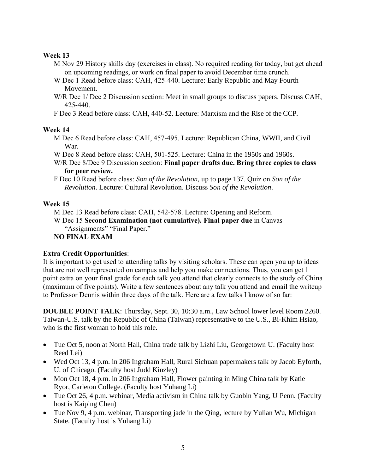# **Week 13**

- M Nov 29 History skills day (exercises in class). No required reading for today, but get ahead on upcoming readings, or work on final paper to avoid December time crunch.
- W Dec 1 Read before class: CAH, 425-440. Lecture: Early Republic and May Fourth Movement.
- W/R Dec 1/ Dec 2 Discussion section: Meet in small groups to discuss papers. Discuss CAH, 425-440.
- F Dec 3 Read before class: CAH, 440-52. Lecture: Marxism and the Rise of the CCP.

# **Week 14**

- M Dec 6 Read before class: CAH, 457-495. Lecture: Republican China, WWII, and Civil War.
- W Dec 8 Read before class: CAH, 501-525. Lecture: China in the 1950s and 1960s.
- W/R Dec 8/Dec 9 Discussion section: **Final paper drafts due. Bring three copies to class for peer review.**
- F Dec 10 Read before class: *Son of the Revolution*, up to page 137. Quiz on *Son of the Revolution*. Lecture: Cultural Revolution. Discuss *Son of the Revolution*.

# **Week 15**

- M Dec 13 Read before class: CAH, 542-578. Lecture: Opening and Reform.
- W Dec 15 **Second Examination (not cumulative). Final paper due** in Canvas "Assignments" "Final Paper."

# **NO FINAL EXAM**

# **Extra Credit Opportunities**:

It is important to get used to attending talks by visiting scholars. These can open you up to ideas that are not well represented on campus and help you make connections. Thus, you can get 1 point extra on your final grade for each talk you attend that clearly connects to the study of China (maximum of five points). Write a few sentences about any talk you attend and email the writeup to Professor Dennis within three days of the talk. Here are a few talks I know of so far:

**DOUBLE POINT TALK**: Thursday, Sept. 30, 10:30 a.m., Law School lower level Room 2260. Taiwan-U.S. talk by the Republic of China (Taiwan) representative to the U.S., Bi-Khim Hsiao, who is the first woman to hold this role.

- Tue Oct 5, noon at North Hall, China trade talk by Lizhi Liu, Georgetown U. (Faculty host Reed Lei)
- Wed Oct 13, 4 p.m. in 206 Ingraham Hall, Rural Sichuan papermakers talk by Jacob Eyforth, U. of Chicago. (Faculty host Judd Kinzley)
- Mon Oct 18, 4 p.m. in 206 Ingraham Hall, Flower painting in Ming China talk by Katie Ryor, Carleton College. (Faculty host Yuhang Li)
- Tue Oct 26, 4 p.m. webinar, Media activism in China talk by Guobin Yang, U Penn. (Faculty host is Kaiping Chen)
- Tue Nov 9, 4 p.m. webinar, Transporting jade in the Qing, lecture by Yulian Wu, Michigan State. (Faculty host is Yuhang Li)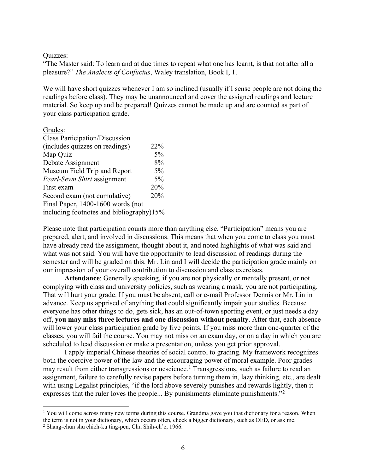#### Quizzes:

"The Master said: To learn and at due times to repeat what one has learnt, is that not after all a pleasure?" *The Analects of Confucius*, Waley translation, Book I, 1.

We will have short quizzes whenever I am so inclined (usually if I sense people are not doing the readings before class). They may be unannounced and cover the assigned readings and lecture material. So keep up and be prepared! Quizzes cannot be made up and are counted as part of your class participation grade.

# Grades: Class Participation/Discussion (includes quizzes on readings) 22% Map Quiz 5% Debate Assignment 8% Museum Field Trip and Report 5% *Pearl-Sewn Shirt* assignment 5% First exam 20% Second exam (not cumulative) 20% Final Paper, 1400-1600 words (not including footnotes and bibliography)15%

Please note that participation counts more than anything else. "Participation" means you are prepared, alert, and involved in discussions. This means that when you come to class you must have already read the assignment, thought about it, and noted highlights of what was said and what was not said. You will have the opportunity to lead discussion of readings during the semester and will be graded on this. Mr. Lin and I will decide the participation grade mainly on our impression of your overall contribution to discussion and class exercises.

**Attendance**: Generally speaking, if you are not physically or mentally present, or not complying with class and university policies, such as wearing a mask, you are not participating. That will hurt your grade. If you must be absent, call or e-mail Professor Dennis or Mr. Lin in advance. Keep us apprised of anything that could significantly impair your studies. Because everyone has other things to do, gets sick, has an out-of-town sporting event, or just needs a day off, **you may miss three lectures and one discussion without penalty**. After that, each absence will lower your class participation grade by five points. If you miss more than one-quarter of the classes, you will fail the course. You may not miss on an exam day, or on a day in which you are scheduled to lead discussion or make a presentation, unless you get prior approval.

I apply imperial Chinese theories of social control to grading. My framework recognizes both the coercive power of the law and the encouraging power of moral example. Poor grades may result from either transgressions or nescience.<sup>1</sup> Transgressions, such as failure to read an assignment, failure to carefully revise papers before turning them in, lazy thinking, etc., are dealt with using Legalist principles, "if the lord above severely punishes and rewards lightly, then it expresses that the ruler loves the people... By punishments eliminate punishments."<sup>2</sup>

<sup>&</sup>lt;sup>1</sup> You will come across many new terms during this course. Grandma gave you that dictionary for a reason. When the term is not in your dictionary, which occurs often, check a bigger dictionary, such as OED, or ask me.

<sup>2</sup> Shang-chün shu chieh-ku ting-pen, Chu Shih-ch'e, 1966.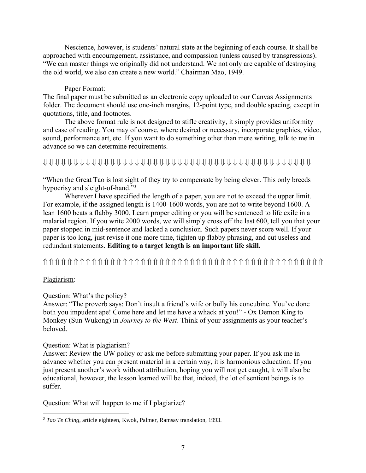Nescience, however, is students' natural state at the beginning of each course. It shall be approached with encouragement, assistance, and compassion (unless caused by transgressions). "We can master things we originally did not understand. We not only are capable of destroying the old world, we also can create a new world." Chairman Mao, 1949.

### Paper Format:

The final paper must be submitted as an electronic copy uploaded to our Canvas Assignments folder. The document should use one-inch margins, 12-point type, and double spacing, except in quotations, title, and footnotes.

The above format rule is not designed to stifle creativity, it simply provides uniformity and ease of reading. You may of course, where desired or necessary, incorporate graphics, video, sound, performance art, etc. If you want to do something other than mere writing, talk to me in advance so we can determine requirements.

# 

"When the Great Tao is lost sight of they try to compensate by being clever. This only breeds hypocrisy and sleight-of-hand."<sup>3</sup>

Wherever I have specified the length of a paper, you are not to exceed the upper limit. For example, if the assigned length is 1400-1600 words, you are not to write beyond 1600. A lean 1600 beats a flabby 3000. Learn proper editing or you will be sentenced to life exile in a malarial region. If you write 2000 words, we will simply cross off the last 600, tell you that your paper stopped in mid-sentence and lacked a conclusion. Such papers never score well. If your paper is too long, just revise it one more time, tighten up flabby phrasing, and cut useless and redundant statements. **Editing to a target length is an important life skill.**

# Plagiarism:

# Question: What's the policy?

Answer: "The proverb says: Don't insult a friend's wife or bully his concubine. You've done both you impudent ape! Come here and let me have a whack at you!" - Ox Demon King to Monkey (Sun Wukong) in *Journey to the West*. Think of your assignments as your teacher's beloved.

# Question: What is plagiarism?

Answer: Review the UW policy or ask me before submitting your paper. If you ask me in advance whether you can present material in a certain way, it is harmonious education. If you just present another's work without attribution, hoping you will not get caught, it will also be educational, however, the lesson learned will be that, indeed, the lot of sentient beings is to suffer.

Question: What will happen to me if I plagiarize?

<sup>3</sup> *Tao Te Ching,* article eighteen, Kwok, Palmer, Ramsay translation, 1993.